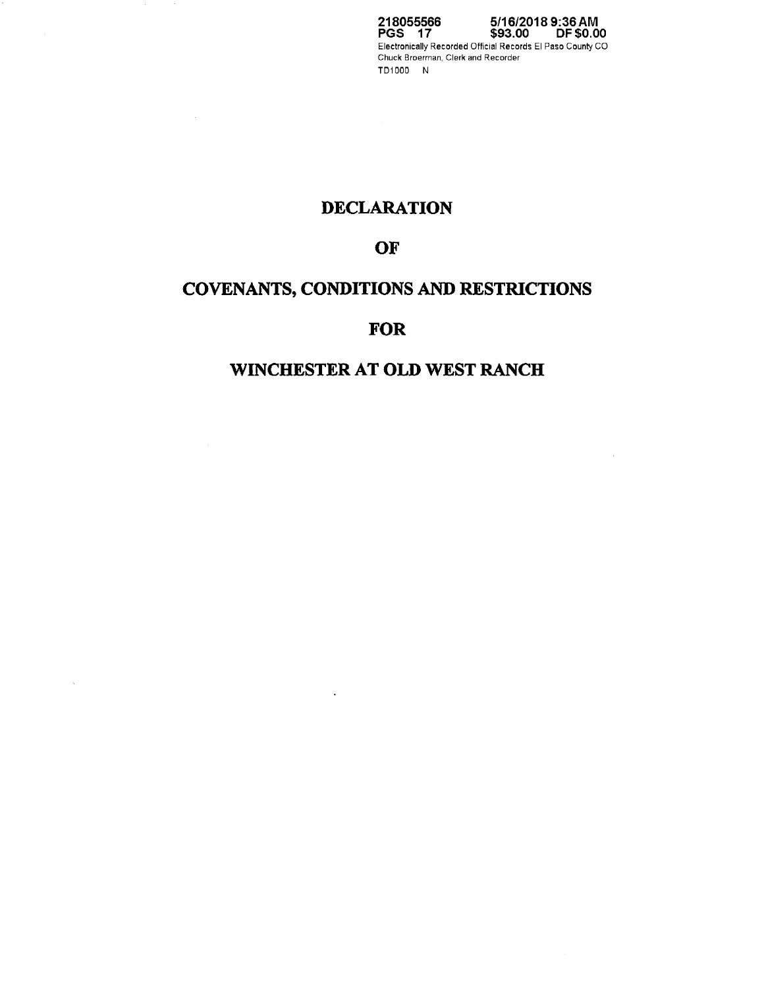**218055566 PGS 17 5/16/2018 9:36AM \$93.00 DF \$0.00**  Electronically Recorded Official Records El Paso County CO Chuck Broerman, Clerk and Recorder TD1000 N

 $\alpha$ 

# **DECLARATION**

# **OF**

# **COVENANTS, CONDITIONS AND RESTRICTIONS**

# **FOR**

# **WINCHESTER AT OLD WEST RANCH**

 $\star$ 

 $\sim 50$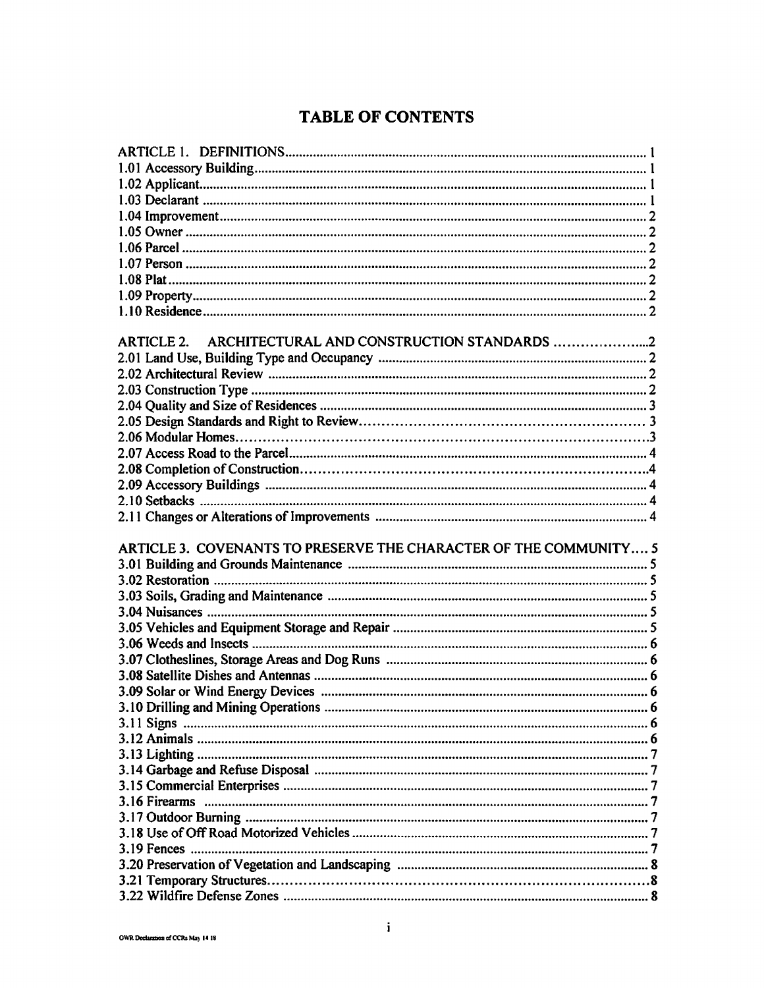# **TABLE OF CONTENTS**

| <b>ARTICLE 2.</b>                                                 |  |
|-------------------------------------------------------------------|--|
|                                                                   |  |
|                                                                   |  |
|                                                                   |  |
|                                                                   |  |
|                                                                   |  |
|                                                                   |  |
|                                                                   |  |
|                                                                   |  |
|                                                                   |  |
|                                                                   |  |
|                                                                   |  |
|                                                                   |  |
| ARTICLE 3. COVENANTS TO PRESERVE THE CHARACTER OF THE COMMUNITY 5 |  |
|                                                                   |  |
|                                                                   |  |
|                                                                   |  |
|                                                                   |  |
|                                                                   |  |
|                                                                   |  |
|                                                                   |  |
|                                                                   |  |
|                                                                   |  |
|                                                                   |  |
|                                                                   |  |
|                                                                   |  |
|                                                                   |  |
|                                                                   |  |
|                                                                   |  |
|                                                                   |  |
|                                                                   |  |
|                                                                   |  |
|                                                                   |  |
|                                                                   |  |
|                                                                   |  |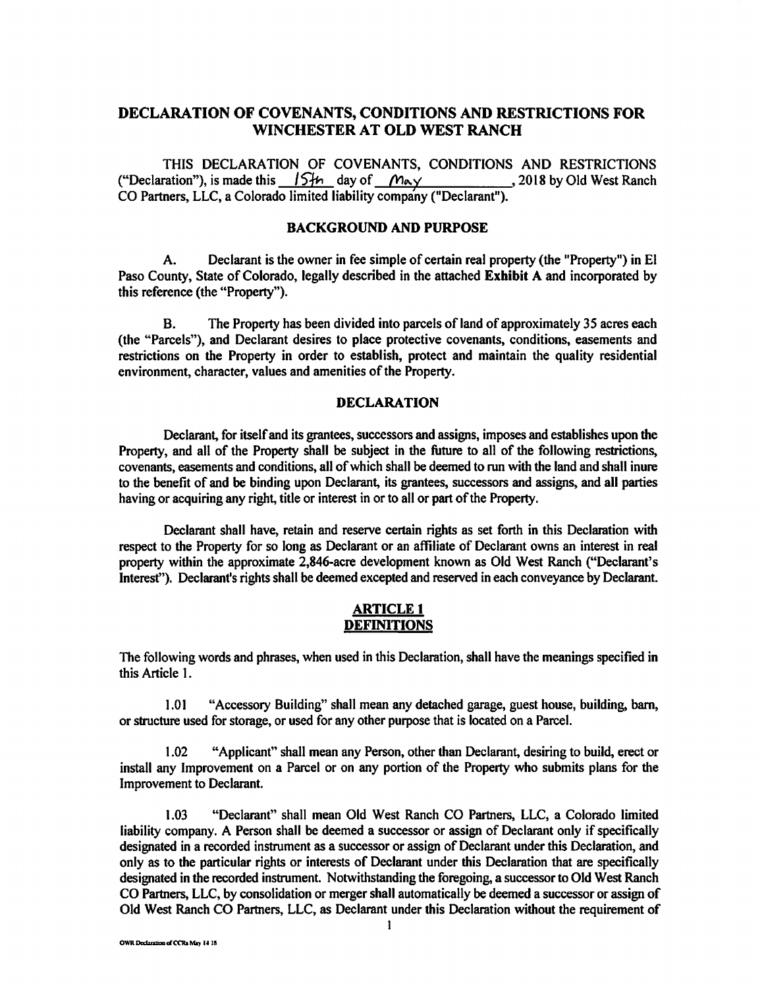# **DECLARATION OF COVENANTS, CONDITIONS AND RESTRICTIONS FOR WINCHESTER AT OLD WEST RANCH**

THIS DECLARATION OF COVENANTS, CONDITIONS AND RESTRICTIONS ration"), is made this  $15H_1$  day of  $M_2 \times 2018$  by Old West Ranch ("Declaration"), is made this  $\sqrt{S_{\text{th}}}$  day of  $\sqrt{M_{\text{ex}}}}$ CO Partners, LLC, a Colorado limited liability company ("Declarant").

### **BACKGROUND AND PURPOSE**

A. Declarant is the owner in fee simple of certain real property (the "Property") in El Paso County, State of Colorado, legally described in the attached **Exhibit A** and incorporated by this reference (the "Property").

B. The Property has been divided into parcels of land of approximately 35 acres each (the "Parcels"), and Declarant desires to place protective covenants, conditions, easements and restrictions on the Property in order to establish, protect and maintain the quality residential environment, character, values and amenities of the Property.

#### **DECLARATION**

Declarant, for itself and its grantees, successors and assigns, imposes and establishes upon the Property, and all of the Property shall be subject in the future to all of the following restrictions, covenants, easements and conditions, all of which shall be deemed to run with the land and shall inure to the benefit of and be binding upon Declarant, its grantees, successors and assigns, and all parties having or acquiring any right, title or interest in or to all or part of the Property.

Declarant shall have, retain and reserve certain rights as set forth in this Declaration with respect to the Property for so long as Declarant or an affiliate of Declarant owns an interest in real property within the approximate 2,846-acre development known as Old West Ranch ("Declarant's Interest"). Declarant's rights shall be deemed excepted and reserved in each conveyance by Declarant.

### **ARTICLE 1 DEFINITIONS**

The following words and phrases, when used in this Declaration, shall have the meanings specified in this Article I.

1.01 "Accessory Building" shall mean any detached garage, guest house, building, barn, or structure used for storage, or used for any other purpose that is located on a Parcel.

1.02 "Applicant" shall mean any Person, other than Declarant, desiring to build, erect or install any Improvement on a Parcel or on any portion of the Property who submits plans for the Improvement to Declarant.

1.03 "Declarant" shall mean Old West Ranch CO Partners, LLC, a Colorado limited liability company. A Person shall be deemed a successor or assign of Declarant only if specifically designated in a recorded instrument as a successor or assign of Declarant under this Declaration, and only as to the particular rights or interests of Declarant under this Declaration that are specifically designated in the recorded instrument. Notwithstanding the foregoing, a successor to Old West Ranch CO Partners, LLC, by consolidation or merger shall automatically be deemed a successor or assign of Old West Ranch CO Partners, LLC, as Declarant under this Declaration without the requirement of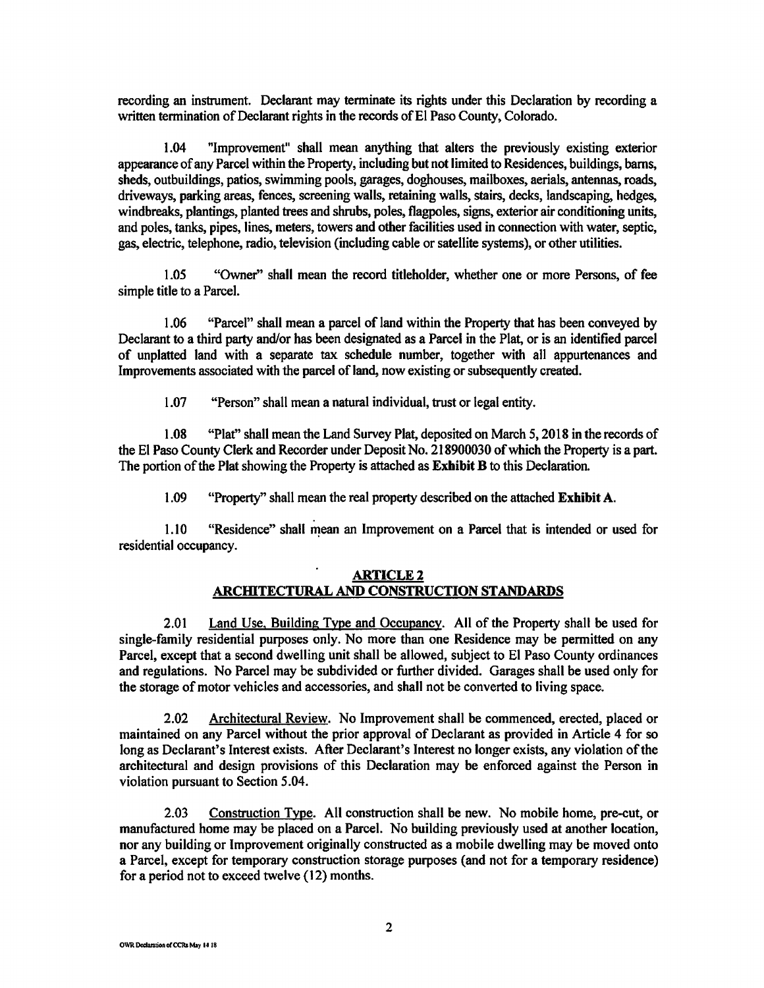recording an instrument. Declarant may terminate its rights under this Declaration by recording a written termination of Declarant rights in the records of El Paso County, Colorado.

1.04 "Improvement" shall mean anything that alters the previously existing exterior appearance of any Parcel within the Property, including but not limited to Residences, buildings, barns, sheds, outbuildings, patios, swimming pools, garages, doghouses, mailboxes, aerials, antennas, roads, driveways, parking areas, fences, screening walls, retaining walls, stairs, decks, landscaping, hedges, windbreaks, plantings, planted trees and shrubs, poles, flagpoles, signs, exterior air conditioning units, and poles, tanks, pipes, lines, meters, towers and other facilities used in connection with water, septic, gas, electric, telephone, radio, television (including cable or satellite systems), or other utilities.

1.05 "Owner" shall mean the record titleholder, whether one or more Persons, of fee simple title to a Parcel.

1.06 "Parcel" shall mean a parcel of land within the Property that has been conveyed by Declarant to a third party and/or has been designated as a Parcel in the Plat, or is an identified parcel of unplatted land with a separate tax schedule number, together with all appurtenances and Improvements associated with the parcel of land, now existing or subsequently created.

1.07 "Person" shall mean a natural individual, trust or legal entity.

1.08 "Plat" shall mean the Land Survey Plat, deposited on March 5, 2018 in the records of the El Paso County Clerk and Recorder under Deposit No. 218900030 of which the Property is a part. The portion of the Plat showing the Property is attached as **Exhibit B** to this Declaration.

1.09 "Property" shall mean the real property described on the attached **Exhibit A.** 

1.10 "Residence" shall mean an Improvement on a Parcel that is intended or used for residential occupancy.

## **ARTICLE2 ARCmTECTURAL AND CONSTRUCTION STANDARDS**

2.01 Land Use. Building Type and Occupancy. All of the Property shall be used for single-family residential purposes only. No more than one Residence may be permitted on any Parcel, except that a second dwelling unit shall be allowed, subject to El Paso County ordinances and regulations. No Parcel may be subdivided or further divided. Garages shall be used only for the storage of motor vehicles and accessories, and shall not be converted to living space.

2.02 Architectural Review. No Improvement shall be commenced, erected, placed or maintained on any Parcel without the prior approval of Declarant as provided in Article 4 for so long as Declarant's Interest exists. After Declarant's Interest no longer exists, any violation of the architectural and design provisions of this Declaration may be enforced against the Person in violation pursuant to Section 5.04.

2.03 Construction Type. All construction shall be new. No mobile home, pre-cut, or manufactured home may be placed on a Parcel. No building previously used at another location, nor any building or Improvement originally constructed as a mobile dwelling may be moved onto a Parcel, except for temporary construction storage purposes (and not for a temporary residence) for a period not to exceed twelve (12) months.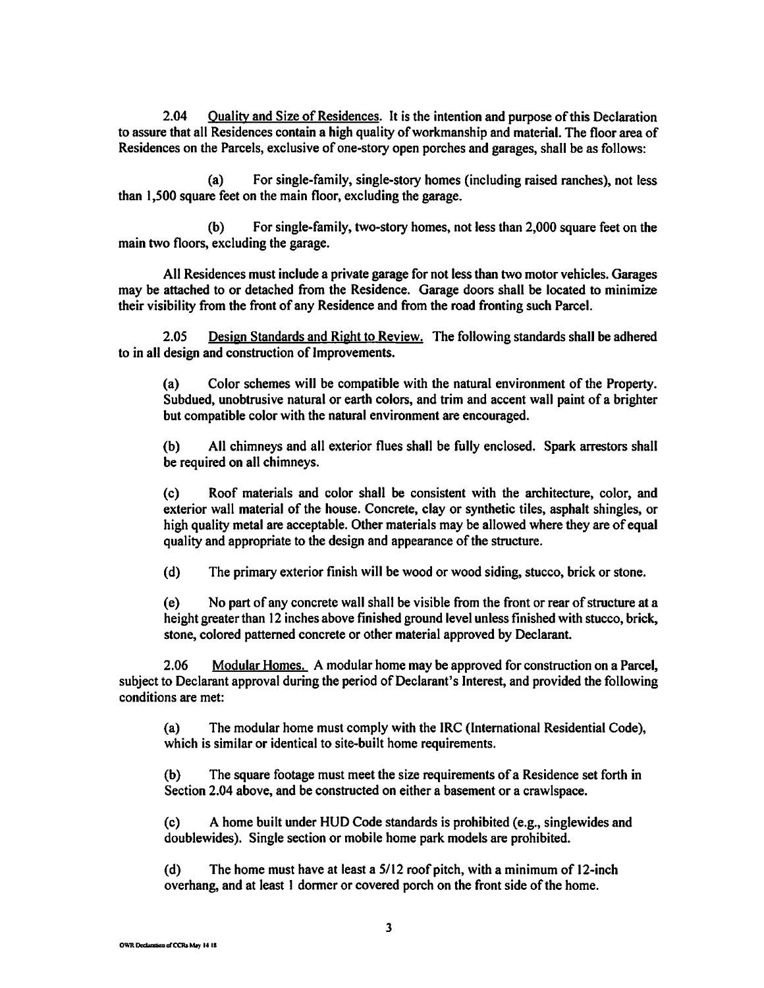2.04 Quality and Size of Residences. It is the intention and purpose of this Declaration to assure that all Residences contain a high quality of workmanship and material. The floor area of Residences on the Parcels, exclusive of one-story open porches and garages, shall be as follows:

(a) For single-family, single-story homes (including raised ranches), not less than 1,500 square feet on the main floor, excluding the garage.

(b) For single-family, two-story homes, not less than 2,000 square feet on the main two floors, excluding the garage.

All Residences must include a private garage for not less than two motor vehicles. Garages may be attached to or detached from the Residence. Garage doors shall be located to minimize their visibility from the front of any Residence and from the road fronting such Parcel.

2.05 Design Standards and Right to Review. The following standards shall be adhered to in all design and construction of Improvements.

(a) Color schemes will be compatible with the natural environment of the Property. Subdued, unobtrusive natural or earth colors, and trim and accent wall paint of a brighter but compatible color with the natural environment are encouraged.

(b) All chimneys and all exterior flues shall be fully enclosed. Spark arrestors shall be required on all chimneys.

(c) Roof materials and color shall be consistent with the architecture, color, and exterior wall material of the house. Concrete, clay or synthetic tiles, asphalt shingles, or high quality metal are acceptable. Other materials may be allowed where they are of equal quality and appropriate to the design and appearance of the structure.

(d) The primary exterior finish will be wood or wood siding, stucco, brick or stone.

( e) No part of any concrete wall shall be visible from the front or rear of structure at a height greater than 12 inches above finished ground level unless finished with stucco, brick, stone, colored patterned concrete or other material approved by Declarant.

2.06 Modular Homes. A modular home may be approved for construction on a Parcel, subject to Declarant approval during the period of Declarant's Interest, and provided the following conditions are met:

(a) The modular home must comply with the IRC (International Residential Code), which is similar or identical to site-built home requirements.

(b) The square footage must meet the size requirements of a Residence set forth in Section 2.04 above, and be constructed on either a basement or a crawlspace.

(c) A home built under HUD Code standards is prohibited (e.g., singlewides and doublewides). Single section or mobile home park models are prohibited.

(d) The home must have at least a 5/12 roof pitch, with a minimum of 12-inch overhang, and at least l dormer or covered porch on the front side of the home.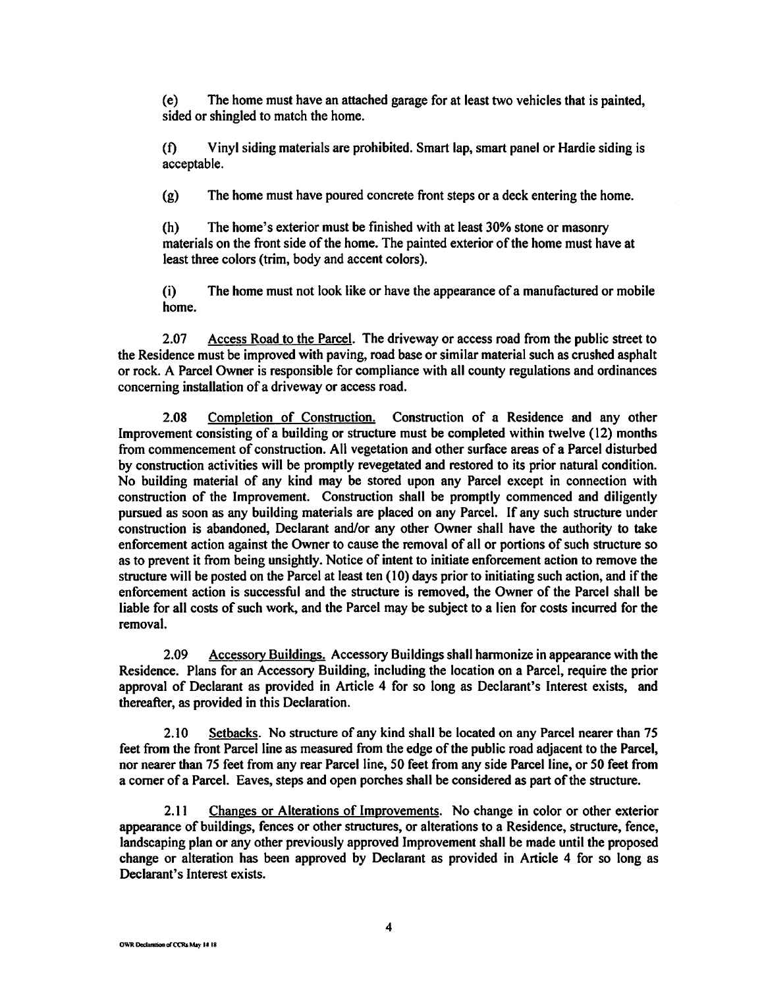(e) The home must have an attached garage for at least two vehicles that is painted, sided or shingled to match the home.

(t) Vinyl siding materials are prohibited. Smart lap, smart panel or Hardie siding is acceptable.

(g) The home must have poured concrete front steps or a deck entering the home.

(h) The home's exterior must be finished with at least 30% stone or masonry materials on the front side of the home. The painted exterior of the home must have at least three colors (trim, body and accent colors).

(i) The home must not look like or have the appearance of a manufactured or mobile home.

2.07 Access Road to the Parcel. The driveway or access road from the public street to the Residence must be improved with paving, road base or similar material such as crushed asphalt or rock. A Parcel Owner is responsible for compliance with all county regulations and ordinances concerning installation of a driveway or access road.

2.08 Completion of Construction. Construction of a Residence and any other Improvement consisting of a building or structure must be completed within twelve (12) months from commencement of construction. All vegetation and other surface areas of a Parcel disturbed by construction activities will be promptly revegetated and restored to its prior natural condition. No building material of any kind may be stored upon any Parcel except in connection with construction of the Improvement. Construction shall be promptly commenced and diligently pursued as soon as any building materials are placed on any Parcel. If any such structure under construction is abandoned, Declarant and/or any other Owner shall have the authority to take enforcement action against the Owner to cause the removal of all or portions of such structure so as to prevent it from being unsightly. Notice of intent to initiate enforcement action to remove the structure will be posted on the Parcel at least ten (10) days prior to initiating such action, and if the enforcement action is successful and the structure is removed, the Owner of the Parcel shall be liable for all costs of such work, and the Parcel may be subject to a lien for costs incurred for the removal.

2.09 Accessory Buildings. Accessory Buildings shall harmonize in appearance with the Residence. Plans for an Accessory Building, including the location on a Parcel, require the prior approval of Declarant as provided in Article 4 for so long as Declarant's Interest exists, and thereafter, as provided in this Declaration.

2.10 Setbacks. No structure of any kind shall be located on any Parcel nearer than 75 feet from the front Parcel line as measured from the edge of the public road adjacent to the Parcel, nor nearer than 75 feet from any rear Parcel line, 50 feet from any side Parcel line, or 50 feet from a comer of a Parcel. Eaves, steps and open porches shall be considered as part of the structure.

2.11 Changes or Alterations of Improvements. No change in color or other exterior appearance of buildings, fences or other structures, or alterations to a Residence, structure, fence, landscaping plan or any other previously approved Improvement shall be made until the proposed change or alteration has been approved by Declarant as provided in Article 4 for so long as Declarant's Interest exists.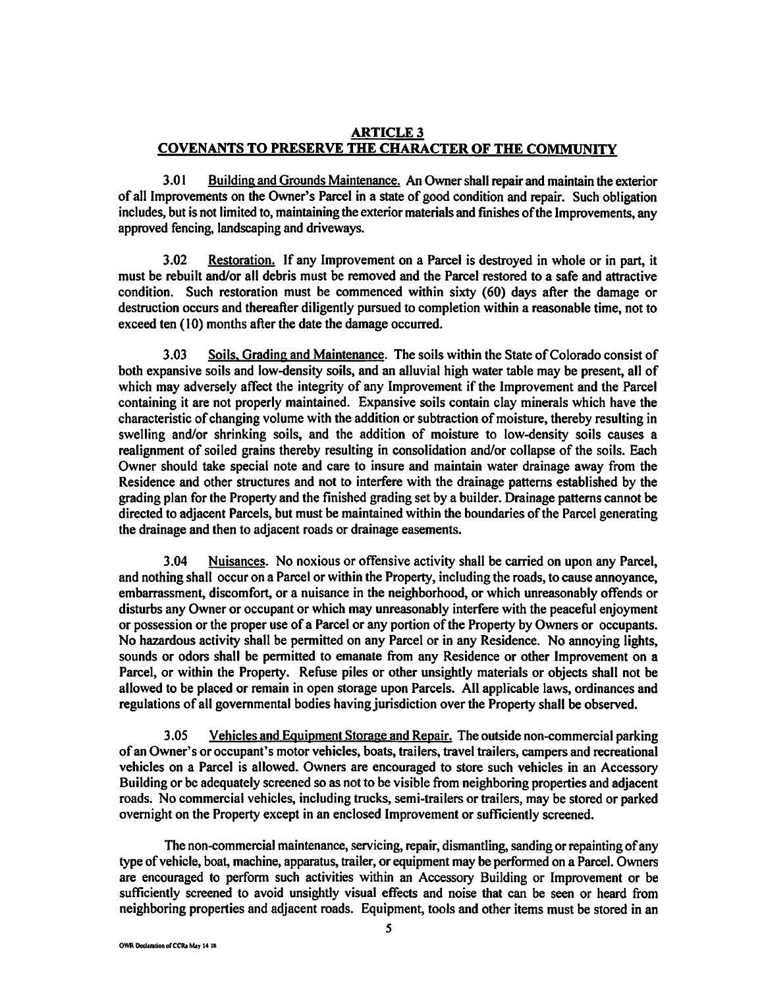# **ARTICLE3 COVENANTS TO PRESERVE THE CHARACTER OF THE COMMUNITY**

3.01 Building and Grounds Maintenance. An Owner shall repair and maintain the exterior of all Improvements on the Owner's Parcel in a state of good condition and repair. Such obligation includes, but is not limited to, maintaining the exterior materials and finishes of the Improvements, any approved fencing, landscaping and driveways.

3.02 Restoration. If any Improvement on a Parcel is destroyed in whole or in part, it must be rebuilt and/or all debris must be removed and the Parcel restored to a safe and attractive condition. Such restoration must be commenced within sixty (60) days after the damage or destruction occurs and thereafter diligently pursued to completion within a reasonable time, not to exceed ten (10) months after the date the damage occurred.

3.03 Soils, Grading and Maintenance. The soils within the State of Colorado consist of both expansive soils and low-density soils, and an alluvial high water table may be present, all of which may adversely affect the integrity of any Improvement if the Improvement and the Parcel containing it are not properly maintained. Expansive soils contain clay minerals which have the characteristic of changing volume with the addition or subtraction of moisture, thereby resulting in swelling and/or shrinking soils, and the addition of moisture to low-density soils causes a realignment of soiled grains thereby resulting in consolidation and/or collapse of the soils. Each Owner should take special note and care to insure and maintain water drainage away from the Residence and other structures and not to interfere with the drainage patterns established by the grading plan for the Property and the finished grading set by a builder. Drainage patterns cannot be directed to adjacent Parcels, but must be maintained within the boundaries of the Parcel generating the drainage and then to adjacent roads or drainage easements.

3.04 Nuisances. No noxious or offensive activity shall be carried on upon any Parcel, and nothing shall occur on a Parcel or within the Property, including the roads, to cause annoyance, embarrassment, discomfort, or a nuisance in the neighborhood, or which unreasonably offends or disturbs any Owner or occupant or which may unreasonably interfere with the peaceful enjoyment or possession or the proper use of a Parcel or any portion of the Property by Owners or occupants. No hazardous activity shall be permitted on any Parcel or in any Residence. No annoying lights, sounds or odors shall be permitted to emanate from any Residence or other Improvement on a Parcel, or within the Property. Refuse piles or other unsightly materials or objects shall not be allowed to be placed or remain in open storage upon Parcels. All applicable laws, ordinances and regulations of all governmental bodies having jurisdiction over the Property shall be observed.

3 .05 Vehicles and Equipment Storage and Repair. The outside non-commercial parking of an Owner's or occupant's motor vehicles, boats, trailers, travel trailers, campers and recreational vehicles on a Parcel is allowed. Owners are encouraged to store such vehicles in an Accessory Building or be adequately screened so as not to be visible from neighboring properties and adjacent roads. No commercial vehicles, including trucks, semi-trailers or trailers, may be stored or parked overnight on the Property except in an enclosed Improvement or sufficiently screened.

The non-commercial maintenance, servicing, repair, dismantling, sanding or repainting of any type of vehicle, boat, machine, apparatus, trailer, or equipment may be performed on a Parcel. Owners are encouraged to perform such activities within an Accessory Building or Improvement or be sufficiently screened to avoid unsightly visual effects and noise that can be seen or heard from neighboring properties and adjacent roads. Equipment, tools and other items must be stored in an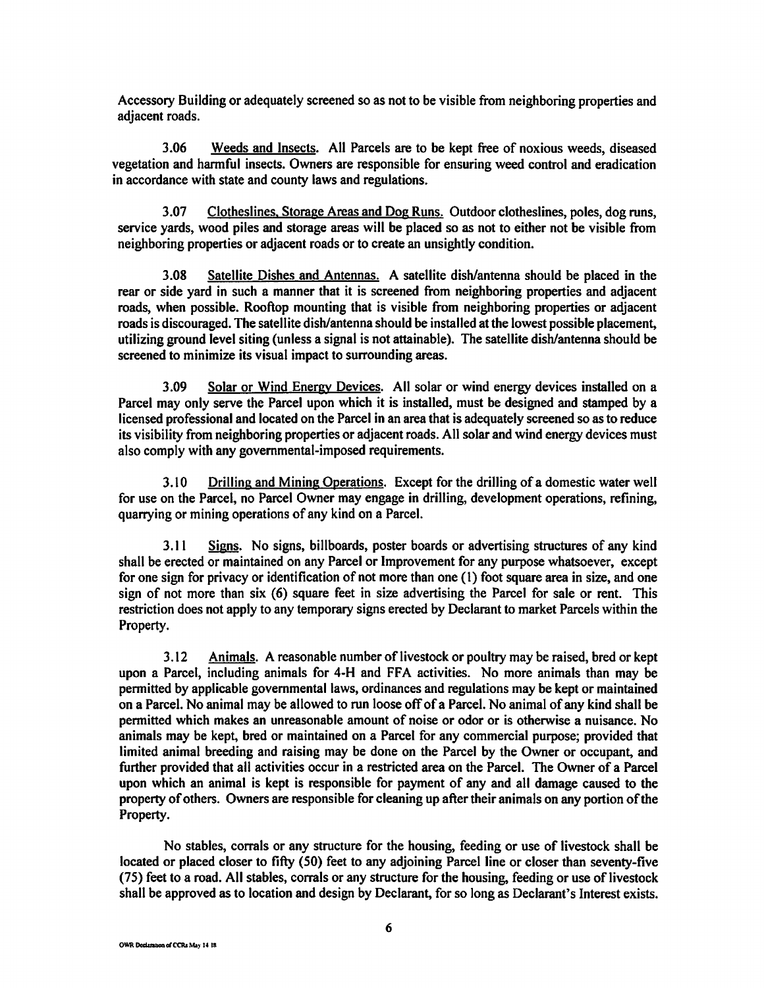Accessory Building or adequately screened so as not to be visible from neighboring properties and adjacent roads.

3.06 Weeds and Insects. All Parcels are to be kept free of noxious weeds, diseased vegetation and harmful insects. Owners are responsible for ensuring weed control and eradication in accordance with state and county laws and regulations.

3.07 Clotheslines, Storage Areas and Dog Runs. Outdoor clotheslines, poles, dog runs, service yards, wood piles and storage areas will be placed so as not to either not be visible from neighboring properties or adjacent roads or to create an unsightly condition.

3.08 Satellite Dishes and Antennas. A satellite dish/antenna should be placed in the rear or side yard in such a manner that it is screened from neighboring properties and adjacent roads, when possible. Rooftop mounting that is visible from neighboring properties or adjacent roads is discouraged. The satellite dish/antenna should be installed at the lowest possible placement, utilizing ground level siting (unless a signal is not attainable). The satellite dish/antenna should be screened to minimize its visual impact to surrounding areas.

3.09 Solar or Wind Energy Devices. All solar or wind energy devices installed on a Parcel may only serve the Parcel upon which it is installed, must be designed and stamped by a licensed professional and located on the Parcel in an area that is adequately screened so as to reduce its visibility from neighboring properties or adjacent roads. All solar and wind energy devices must also comply with any governmental-imposed requirements.

3.10 Drilling and Mining Operations. Except for the drilling of a domestic water well for use on the Parcel, no Parcel Owner may engage in drilling, development operations, refining, quarrying or mining operations of any kind on a Parcel.

3.11 Signs. No signs, billboards, poster boards or advertising structures of any kind shall be erected or maintained on any Parcel or Improvement for any purpose whatsoever, except for one sign for privacy or identification of not more than one {I) foot square area in size, and one sign of not more than six (6) square feet in size advertising the Parcel for sale or rent. This restriction does not apply to any temporary signs erected by Declarant to market Parcels within the Property.

3.12 Animals. A reasonable number of livestock or poultry may be raised, bred or kept upon a Parcel, including animals for 4-H and FFA activities. No more animals than may be permitted by applicable governmental laws, ordinances and regulations may be kept or maintained on a Parcel. No animal may be allowed to run loose off of a Parcel. No animal of any kind shall be permitted which makes an unreasonable amount of noise or odor or is otherwise a nuisance. No animals may be kept, bred or maintained on a Parcel for any commercial purpose; provided that limited animal breeding and raising may be done on the Parcel by the Owner or occupant, and further provided that all activities occur in a restricted area on the Parcel. The Owner of a Parcel upon which an animal is kept is responsible for payment of any and all damage caused to the property of others. Owners are responsible for cleaning up after their animals on any portion of the Property.

No stables, corrals or any structure for the housing, feeding or use of livestock shall be located or placed closer to fifty (SO) feet to any adjoining Parcel line or closer than seventy-five (75) feet to a road. All stables, corrals or any structure for the housing, feeding or use of livestock shall be approved as to location and design by Declarant, for so long as Declarant's Interest exists.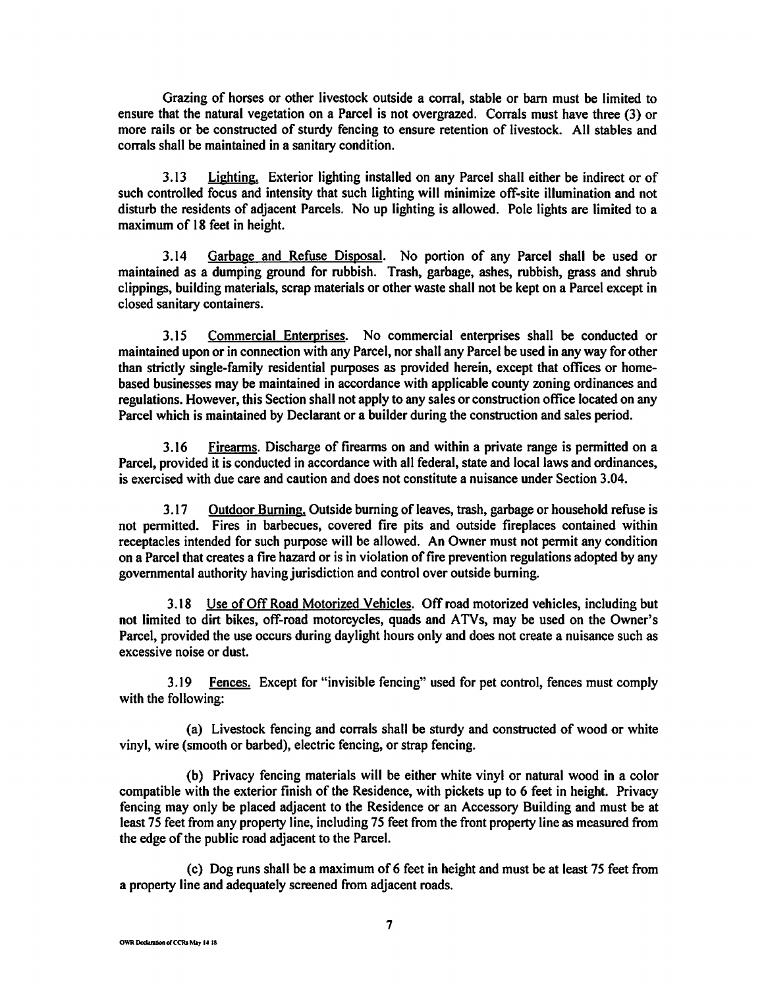Grazing of horses or other livestock outside a corral, stable or barn must be limited to ensure that the natural vegetation on a Parcel is not overgrazed. Corrals must have three (3) or more rails or be constructed of sturdy fencing to ensure retention of livestock. All stables and corrals shall be maintained in a sanitary condition.

3 .13 Lighting. Exterior lighting installed on any Parcel shall either be indirect or of such controlled focus and intensity that such lighting will minimize off-site illumination and not disturb the residents of adjacent Parcels. No up lighting is allowed. Pole lights are limited to a maximum of 18 feet in height.

3.14 Garbage and Refuse Disposal. No portion of any Parcel shall be used or maintained as a dumping ground for rubbish. Trash, garbage, ashes, rubbish, grass and shrub clippings, building materials, scrap materials or other waste shall not be kept on a Parcel except in closed sanitary containers.

3.15 Commercial Enterprises. No commercial enterprises shall be conducted or maintained upon or in connection with any Parcel, nor shall any Parcel be used in any way for other than strictly single-family residential purposes as provided herein, except that offices or homebased businesses may be maintained in accordance with applicable county zoning ordinances and regulations. However, this Section shall not apply to any sales or construction office located on any Parcel which is maintained by Declarant or a builder during the construction and sales period.

3.16 Firearms. Discharge of firearms on and within a private range is permitted on a Parcel, provided it is conducted in accordance with all federal, state and local laws and ordinances, is exercised with due care and caution and does not constitute a nuisance under Section 3.04.

3 .17 Outdoor Burning. Outside burning of leaves, trash, garbage or household refuse is not permitted. Fires in barbecues, covered fire pits and outside fireplaces contained within receptacles intended for such purpose will be allowed. An Owner must not permit any condition on a Parcel that creates a fire hazard or is in violation of fire prevention regulations adopted by any governmental authority having jurisdiction and control over outside burning.

3.18 Use of Off Road Motorized Vehicles. Off road motorized vehicles, including but not limited to dirt bikes, off-road motorcycles, quads and ATVs, may be used on the Owner's Parcel, provided the use occurs during daylight hours only and does not create a nuisance such as excessive noise or dust.

3.19 Fences. Except for "invisible fencing" used for pet control, fences must comply with the following:

(a) Livestock fencing and corrals shall be sturdy and constructed of wood or white vinyl, wire (smooth or barbed), electric fencing, or strap fencing.

(b) Privacy fencing materials will be either white vinyl or natural wood in a color compatible with the exterior finish of the Residence, with pickets up to 6 feet in height. Privacy fencing may only be placed adjacent to the Residence or an Accessory Building and must be at least 75 feet from any property line, including 75 feet from the front property line as measured from the edge of the public road adjacent to the Parcel.

( c) Dog runs shall be a maximum of 6 feet in height and must be at least 75 feet from a property line and adequately screened from adjacent roads.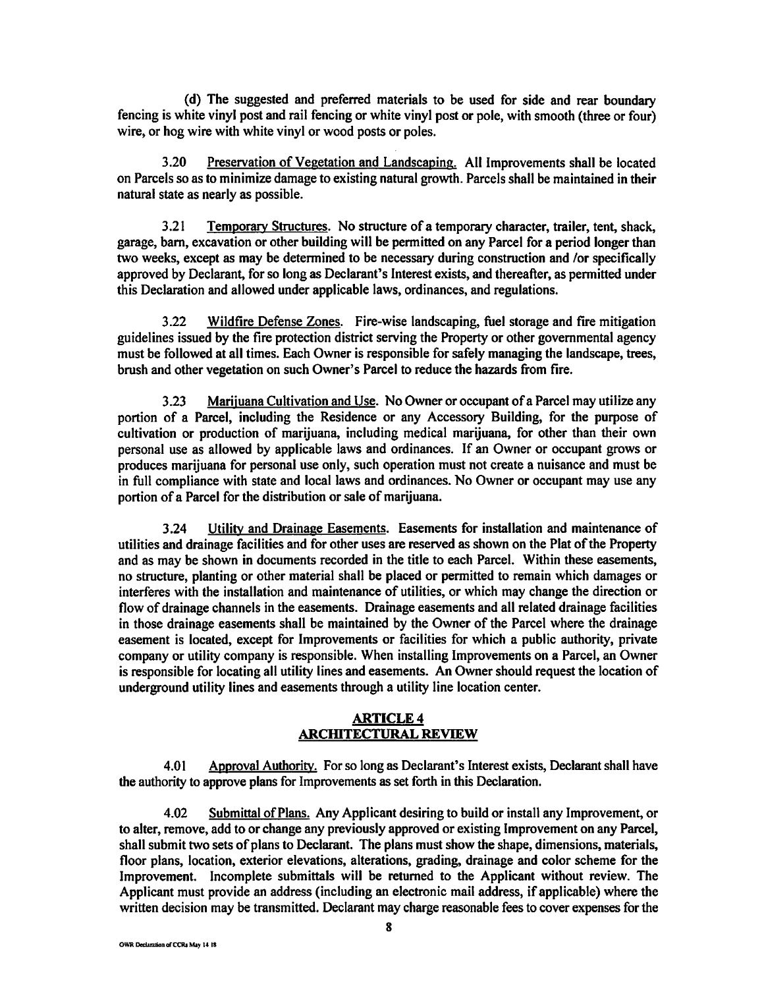( d) The suggested and preferred materials to be used for side and rear boundary fencing is white vinyl post and rail fencing or white vinyl post or pole, with smooth (three or four) wire, or hog wire with white vinyl or wood posts or poles.

3.20 Preservation of Vegetation and Landscaping. All Improvements shall be located on Parcels so as to minimize damage to existing natural growth. Parcels shall be maintained in their natural state as nearly as possible.

3.21 Temporary Structures. No structure of a temporary character, trailer, tent, shack, garage, barn, excavation or other building will be permitted on any Parcel for a period longer than two weeks, except as may be determined to be necessary during construction and /or specifically approved by Declarant, for so long as Declarant's Interest exists, and thereafter, as permitted under this Declaration and allowed under applicable laws, ordinances, and regulations.

3.22 Wildfire Defense Zones. Fire-wise landscaping, fuel storage and fire mitigation guidelines issued by the fire protection district serving the Property or other governmental agency must be followed at all times. Each Owner is responsible for safely managing the landscape, trees, brush and other vegetation on such Owner's Parcel to reduce the hazards from fire.

3.23 Marijuana Cultivation and Use. No Owner or occupant of a Parcel may utilize any portion of a Parcel, including the Residence or any Accessory Building, for the purpose of cultivation or production of marijuana, including medical marijuana, for other than their own personal use as allowed by applicable laws and ordinances. If an Owner or occupant grows or produces marijuana for personal use only, such operation must not create a nuisance and must be in full compliance with state and local laws and ordinances. No Owner or occupant may use any portion of a Parcel for the distribution or sale of marijuana.

3.24 Utility and Drainage Easements. Easements for installation and maintenance of utilities and drainage facilities and for other uses are reserved as shown on the Plat of the Property and as may be shown in documents recorded in the title to each Parcel. Within these easements, no structure, planting or other material shall be placed or permitted to remain which damages or interferes with the installation and maintenance of utilities, or which may change the direction or flow of drainage channels in the easements. Drainage easements and all related drainage facilities in those drainage easements shall be maintained by the Owner of the Parcel where the drainage easement is located, except for Improvements or facilities for which a public authority, private company or utility company is responsible. When installing Improvements on a Parcel, an Owner is responsible for locating all utility lines and easements. An Owner should request the location of underground utility lines and easements through a utility line location center.

### **ARTICLE4 ARCHITECTURAL REVIEW**

4.01 Approval Authority. For so long as Declarant's Interest exists, Declarant shall have the authority to approve plans for Improvements as set forth in this Declaration.

4.02 Submittal of Plans. Any Applicant desiring to build or install any Improvement, or to alter, remove, add to or change any previously approved or existing Improvement on any Parcel, shall submit two sets of plans to Declarant. The plans must show the shape, dimensions, materials, floor plans, location, exterior elevations, alterations, grading, drainage and color scheme for the Improvement. Incomplete submittals will be returned to the Applicant without review. The Applicant must provide an address (including an electronic mail address, if applicable) where the written decision may be transmitted. Declarant may charge reasonable fees to cover expenses for the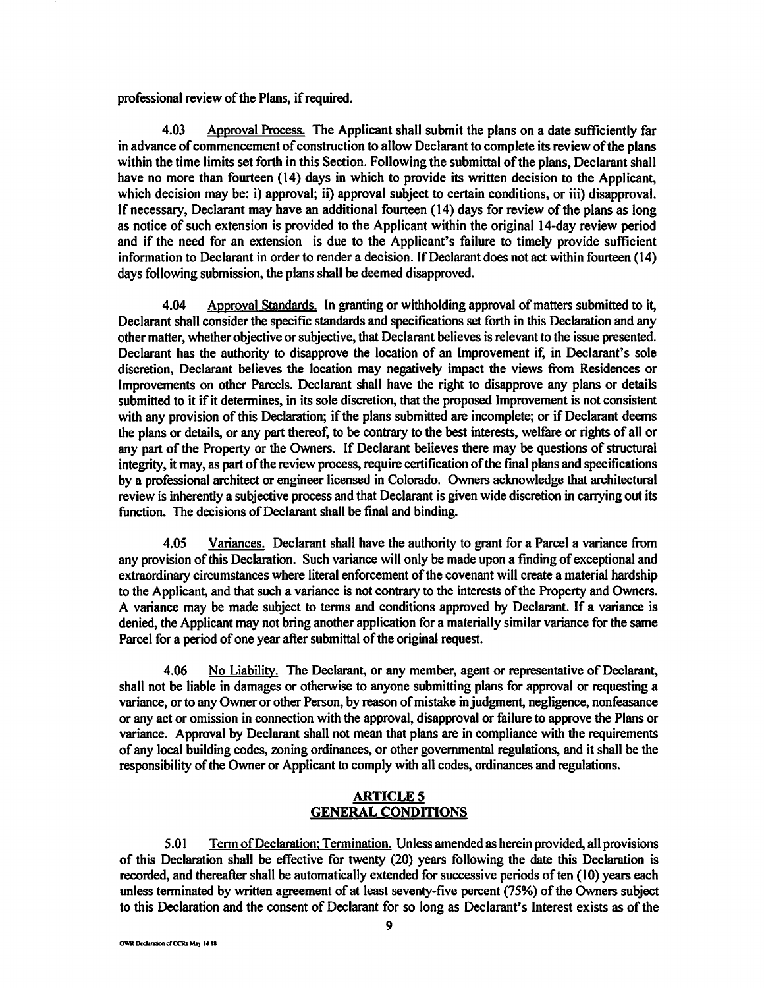professional review of the Plans, if required.

4.03 Approval Process. The Applicant shall submit the plans on a date sufficiently far in advance of commencement of construction to allow Declarant to complete its review of the plans within the time limits set forth in this Section. Following the submittal of the plans, Declarant shall have no more than fourteen (14) days in which to provide its written decision to the Applicant, which decision may be: i) approval; ii) approval subject to certain conditions, or iii) disapproval. If necessary, Declarant may have an additional fourteen (14) days for review of the plans as long as notice of such extension is provided to the Applicant within the original 14-day review period and if the need for an extension is due to the Applicant's failure to timely provide sufficient information to Declarant in order to render a decision. If Declarant does not act within fourteen (14) days following submission, the plans shall be deemed disapproved.

4.04 Approval Standards. In granting or withholding approval of matters submitted to it, Declarant shall consider the specific standards and specifications set forth in this Declaration and any other matter, whether objective or subjective, that Declarant believes is relevant to the issue presented. Declarant has the authority to disapprove the location of an Improvement if, in Declarant's sole discretion, Declarant believes the location may negatively impact the views from Residences or Improvements on other Parcels. Declarant shall have the right to disapprove any plans or details submitted to it if it determines, in its sole discretion, that the proposed Improvement is not consistent with any provision of this Declaration; if the plans submitted are incomplete; or if Declarant deems the plans or details, or any part thereof, to be contrary to the best interests, welfare or rights of all or any part of the Property or the Owners. If Declarant believes there may be questions of structural integrity, it may, as part of the review process, require certification of the final plans and specifications by a professional architect or engineer licensed in Colorado. Owners acknowledge that architectural review is inherently a subjective process and that Declarant is given wide discretion in carrying out its function. The decisions of Declarant shall be final and binding.

4.05 Variances. Declarant shall have the authority to grant for a Parcel a variance from any provision of this Declaration. Such variance will only be made upon a finding of exceptional and extraordinary circumstances where literal enforcement of the covenant will create a material hardship to the Applicant, and that such a variance is not contrary to the interests of the Property and Owners. A variance may be made subject to terms and conditions approved by Declarant. If a variance is denied, the Applicant may not bring another application for a materially similar variance for the same Parcel for a period of one year after submittal of the original request.

4.06 No Liability. The Declarant, or any member, agent or representative of Declarant, shall not be liable in damages or otherwise to anyone submitting plans for approval or requesting a variance, or to any Owner or other Person, by reason of mistake in judgment, negligence, nonfeasance or any act or omission in connection with the approval, disapproval or failure to approve the Plans or variance. Approval by Declarant shall not mean that plans are in compliance with the requirements of any local building codes, zoning ordinances, or other governmental regulations, and it shall be the responsibility of the Owner or Applicant to comply with all codes, ordinances and regulations.

# **ARTICLES GENERAL CONDITIONS**

5.0 I Term of Declaration; Termination. Unless amended as herein provided, all provisions of this Declaration shall be effective for twenty (20) years following the date this Declaration is recorded, and thereafter shall be automatically extended for successive periods often (10) years each unless terminated by written agreement of at least seventy-five percent (75%) of the Owners subject to this Declaration and the consent of Declarant for so long as Declarant's Interest exists as of the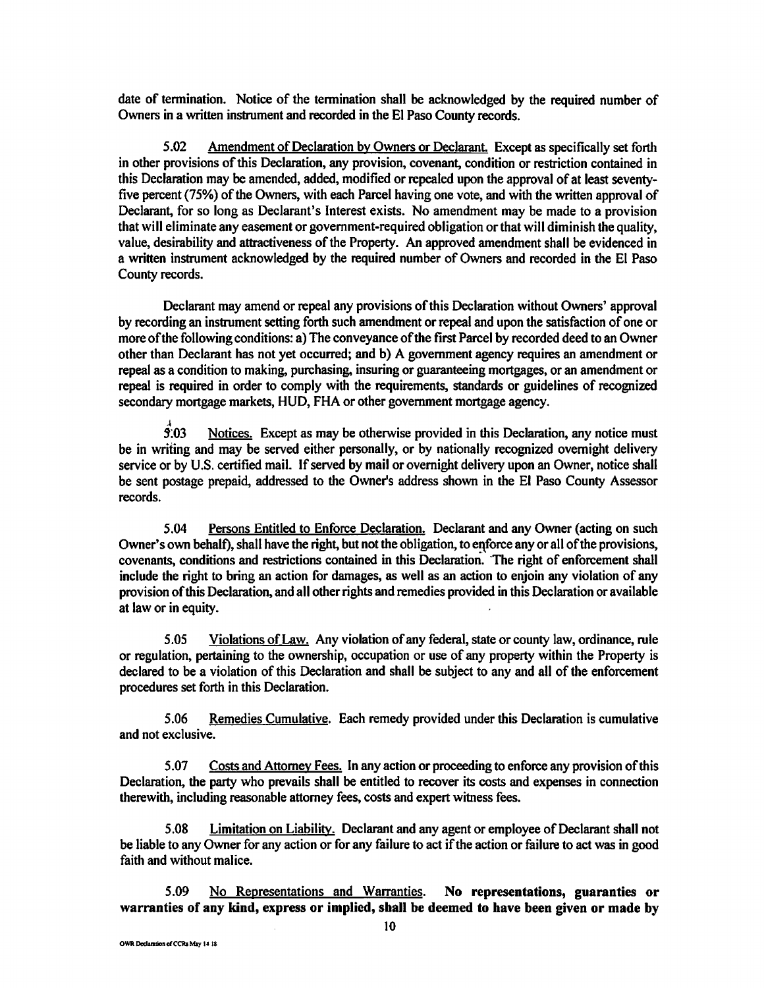date of termination. Notice of the termination shall be acknowledged by the required number of Owners in a written instrument and recorded in the El Paso County records.

5.02 Amendment of Declaration by Owners or Declarant. Except as specifically set forth in other provisions of this Declaration, any provision, covenant, condition or restriction contained in this Declaration may be amended, added, modified or repealed upon the approval of at least seventyfive percent (75%) of the Owners, with each Parcel having one vote, and with the written approval of Declarant, for so long as Declarant's Interest exists. No amendment may be made to a provision that will eliminate any easement or government-required obligation or that will diminish the quality, value, desirability and attractiveness of the Property. An approved amendment shall be evidenced in a written instrument acknowledged by the required number of Owners and recorded in the El Paso County records.

Declarant may amend or repeal any provisions of this Declaration without Owners' approval by recording an instrument setting forth such amendment or repeal and upon the satisfaction of one or more of the following conditions: a) The conveyance of the first Parcel by recorded deed to an Owner other than Declarant has not yet occurred; and b) A government agency requires an amendment or repeal as a condition to making, purchasing, insuring or guaranteeing mortgages, or an amendment or repeal is required in order to comply with the requirements, standards or guidelines of recognized secondary mortgage markets, HUD, FHA or other government mortgage agency.

 $\hat{f}$ :03 Notices. Except as may be otherwise provided in this Declaration, any notice must be in writing and may be served either personally, or by nationally recognized overnight delivery service or by U.S. certified mail. If served by mail or overnight delivery upon an Owner, notice shall be sent postage prepaid, addressed to the Owner's address shown in the El Paso County Assessor records.

5.04 Persons Entitled to Enforce Declaration. Declarant and any Owner (acting on such Owner's own behalf), shall have the right, but not the obligation, to enforce any or all of the provisions, covenants, conditions and restrictions contained in this Declaration. The right of enforcement shall include the right to bring an action for damages, as well as an action to enjoin any violation of any provision of this Declaration, and all other rights and remedies provided in this Declaration or available at law or in equity.

5 .05 Violations of Law. Any violation of any federal, state or county law, ordinance, rule or regulation, pertaining to the ownership, occupation or use of any property within the Property is declared to be a violation of this Declaration and shall be subject to any and all of the enforcement procedures set forth in this Declaration.

5.06 Remedies Cumulative. Each remedy provided under this Declaration is cumulative and not exclusive.

5.07 Costs and Attorney Fees. In any action or proceeding to enforce any provision of this Declaration, the party who prevails shall be entitled to recover its costs and expenses in connection therewith, including reasonable attorney fees, costs and expert witness fees.

5.08 Limitation on Liability. Declarant and any agent or employee of Declarant shall not be liable to any Owner for any action or for any failure to act if the action or failure to act was in good faith and without malice.

5.09 No Representations and Warranties. **No representations, guaranties or**  warranties **of any kind, express or implied, shall be deemed to have** been **given or made by**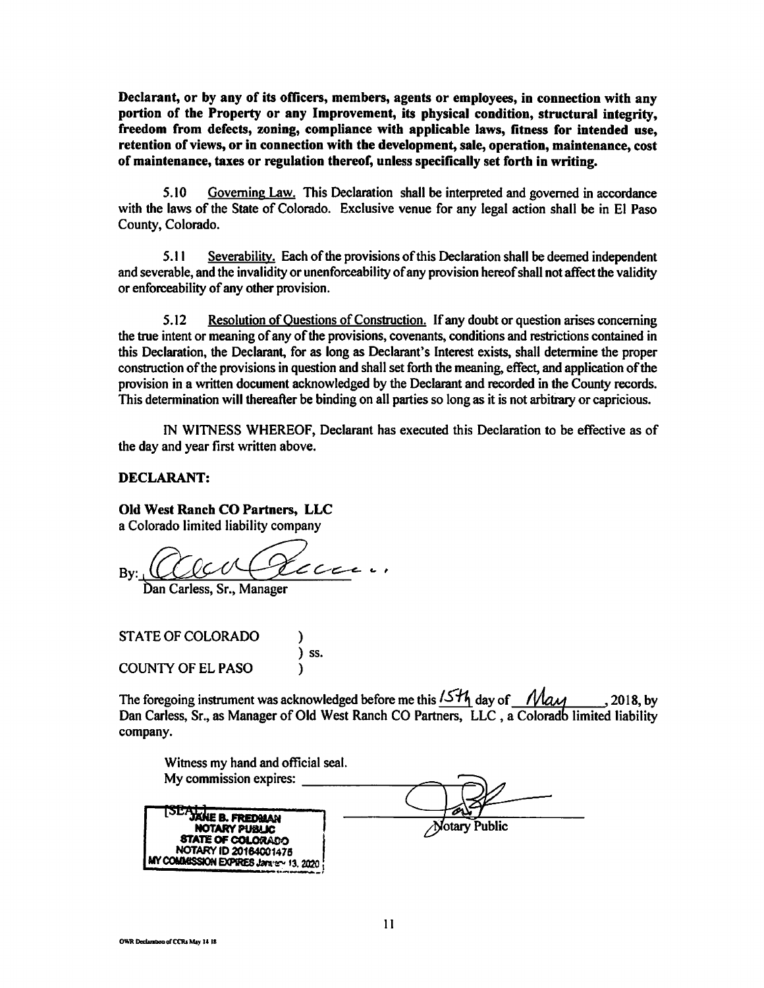**Declarant, or by any of its officers, members, agents** or **employees, in connection with** any **portion of the Property or any Improvement, its physical condition, structural integrity, freedom from defects, zoning, compliance with applicable laws, fitness for intended use, retention of views, or in connection with the development, sale, operation, maintenance, cost of maintenance, taxes or regulation thereof, unless specifically set forth in writing.** 

5.10 Governing Law. This Declaration shall be interpreted and governed in accordance with the laws of the State of Colorado. Exclusive venue for any legal action shall be in El Paso County, Colorado.

*5.* I I Severability. Each of the provisions of this Declaration shall be deemed independent and severable, and the invalidity or unenforceability of any provision hereof shall not affect the validity or enforceability of any other provision.

5.12 Resolution of Questions of Construction. If any doubt or question arises concerning the true intent or meaning of any of the provisions, covenants, conditions and restrictions contained in this Declaration, the Declarant, for as long as Declarant's Interest exists, shall determine the proper construction of the provisions in question and shall set forth the meaning, effect, and application of the provision in a written document acknowledged by the Declarant and recorded in the County records. This determination will thereafter be binding on all parties so long as it is not arbitrary or capricious.

IN WITNESS WHEREOF, Declarant has executed this Declaration to be effective as of the day and year first written above.

#### **DECLARANT:**

### **Old West Ranch CO Partners, LLC**

a Colorado limited liability company

By: ~ *C--c-<--* banCarless,Sr.,M Auce.

STATE OF COLORADO ) ) ss. COUNTY OF EL PASO )

The foregoing instrument was acknowledged before me this  $15\frac{H_1}{V}$  day of  $Mau$ , 2018, by Dan Carless, Sr., as Manager of Old West Ranch CO Partners, LLC, a Colorado limited liability company.

| Witness my hand and official seal.                                                                                               |                      |
|----------------------------------------------------------------------------------------------------------------------------------|----------------------|
| My commission expires:                                                                                                           |                      |
| JAHE B. FREDMAN<br>NOTARY PUBLIC<br><b>STATE OF COLORADO</b><br>NOTARY ID 20164001475<br>MY COMMISSION EXPIRES Jaranety 13, 2020 | <b>Notary Public</b> |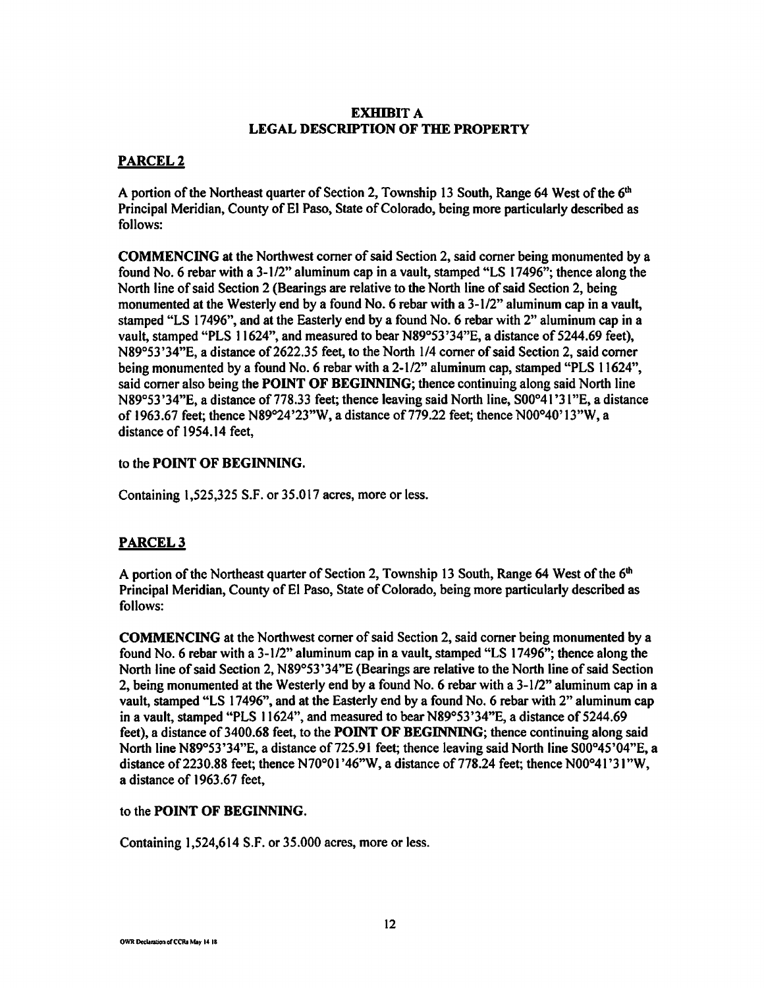# **EXHIBIT A LEGAL DESCRIPTION OF THE PROPERTY**

# **PARCEL2**

A portion of the Northeast quarter of Section 2, Township 13 South, Range 64 West of the 6<sup>th</sup> Principal Meridian, County of El Paso, State of Colorado, being more particularly described as follows:

**COMMENCING** at the Northwest comer of said Section 2, said comer being monumented by a found No. 6 rebar with a 3-1/2" aluminum cap in a vault, stamped "LS 17496"; thence along the North line of said Section 2 (Bearings are relative to the North line of said Section 2, being monumented at the Westerly end by a found No. 6 rebar with a 3-1/2" aluminum cap in a vault, stamped "LS 17496", and at the Easterly end by a found No. 6 rebar with 2" aluminum cap in a vault, stamped "PLS 11624", and measured to bear N89°53 '34"E, a distance of 5244.69 feet), N89°53'34"E, a distance of 2622.35 feet, to the North 1/4 comer of said Section 2, said comer being monumented by a found No. 6 rebar with a 2-1/2" aluminum cap, stamped "PLS 11624", said comer also being the **POINT OF BEGINNING;** thence continuing along said North line N89°53 '34"E, a distance of 778.33 feet; thence leaving said North line, S00°41 '31 "E, a distance of 1963.67 feet; thence N89°24'23"W, a distance of 779.22 feet; thence N00°40' 13"W, a distance of 1954.14 feet,

# to the **POINT OF BEGINNING.**

Containing 1,525,325 S.F. or 35.017 acres, more or less.

# **PARCEL3**

A portion of the Northeast quarter of Section 2, Township 13 South, Range 64 West of the 6<sup>th</sup> Principal Meridian, County of El Paso, State of Colorado, being more particularly described as follows:

**COMMENCING** at the Northwest comer of said Section 2, said comer being monumented by a found No. 6 rebar with a 3-1/2" aluminum cap in a vault, stamped "LS 17496"; thence along the North line of said Section 2, N89°53'34"E (Bearings are relative to the North line of said Section 2, being monumented at the Westerly end by a found No. 6 rebar with a 3-1/2" aluminum cap in a vault, stamped "LS 17496", and at the Easterly end by a found No. 6 rebar with 2" aluminum cap in a vault, stamped "PLS 11624", and measured to bear N89°53'34"E, a distance of 5244.69 feet), a distance of 3400.68 feet, to the **POINT OF BEGINNING;** thence continuing along said North line N89°53'34"E, a distance of 725.91 feet; thence leaving said North line S00°45'04"E, a distance of 2230.88 feet; thence N70°01'46"W, a distance of 778.24 feet; thence N00°41'31"W, a distance of 1963.67 feet,

# to the **POINT OF BEGINNING.**

Containing 1,524,614 S.F. or 35.000 acres, more or less.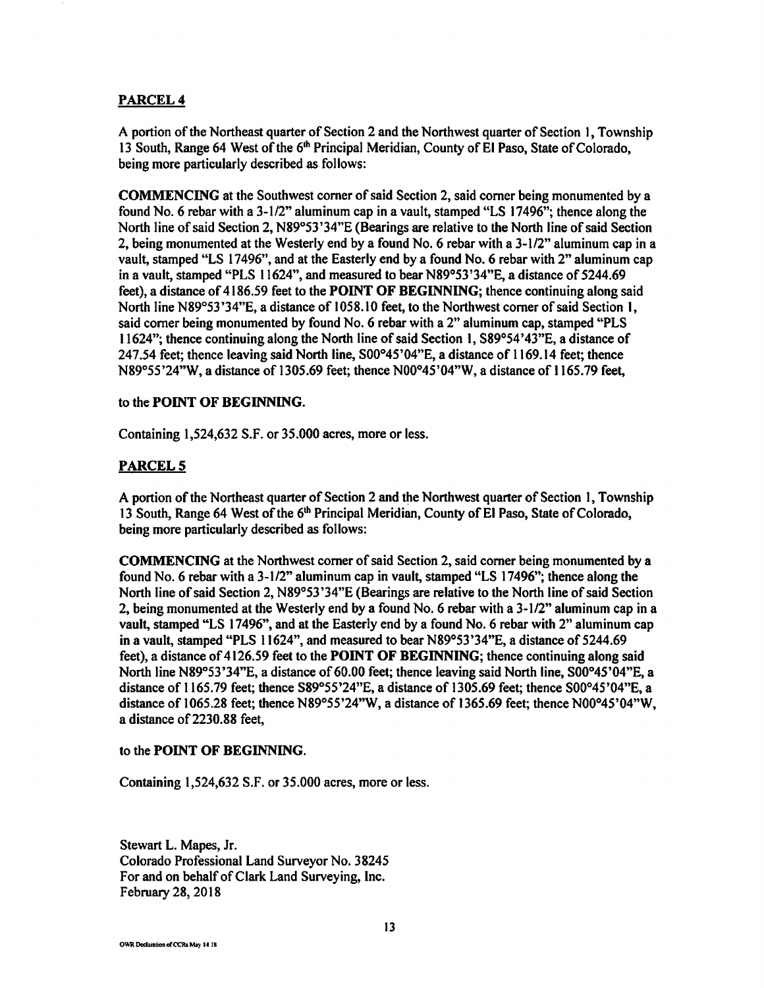## **PARCEL4**

A portion of the Northeast quarter of Section 2 and the Northwest quarter of Section I, Township 13 South, Range 64 West of the 6<sup>th</sup> Principal Meridian, County of El Paso, State of Colorado, being more particularly described as follows:

**COMMENCING** at the Southwest comer of said Section 2, said comer being monumented by a found No. 6 rebar with a 3-1/2" aluminum cap in a vault, stamped "LS 17496"; thence along the North line of said Section 2, N89°53 '34"E (Bearings are relative to the North line of said Section 2, being monumented at the Westerly end by a found No. 6 rebar with a 3-1 /2" aluminum cap in a vault, stamped "LS 17496", and at the Easterly end by a found No. 6 rebar with 2" aluminum cap in a vault, stamped "PLS 11624", and measured to bear N89°53 '34"E, a distance of 5244.69 feet), a distance of 4186.59 feet to the **POINT OF BEGINNING;** thence continuing along said North line N89°53'34"E, a distance of 1058.10 feet, to the Northwest corner of said Section 1, said comer being monumented by found No. 6 rebar with a 2" aluminum cap, stamped "PLS 11624"; thence continuing along the North line of said Section I, S89°54 '43"E, a distance of 247.54 feet; thence leaving said North line, S00°45'04"E, a distance of 1169.14 feet; thence N89°55'24"W, a distance of 1305.69 feet; thence N00°45'04"W, a distance of 1165.79 feet,

#### to the **POINT OF BEGINNING.**

Containing 1,524,632 S.F. or 35.000 acres, more or less.

### **PARCELS**

A portion of the Northeast quarter of Section 2 and the Northwest quarter of Section 1, Township 13 South, Range 64 West of the 6<sup>th</sup> Principal Meridian, County of El Paso, State of Colorado, being more particularly described as follows:

**COMMENCING** at the Northwest comer of said Section 2, said comer being monumented by a found No. 6 rebar with a 3-1 /2" aluminum cap in vault, stamped "LS 17496"; thence along the North line of said Section 2, N89°53 '34"E (Bearings are relative to the North line of said Section 2, being monumented at the Westerly end by a found No. 6 rebar with a 3-1/2" aluminum cap in a vault, stamped "LS 17496", and at the Easterly end by a found No. 6 rebar with 2" aluminum cap in a vault, stamped "PLS 11624", and measured to bear N89°53 '34"E, a distance of 5244.69 feet), a distance of 4126.59 feet to the **POINT OF BEGINNING;** thence continuing along said North line N89°53'34"E, a distance of 60.00 feet; thence leaving said North line, S00°45'04"E, a distance of 1165.79 feet; thence S89°55'24"E, a distance of 1305.69 feet; thence S00°45'04"E, a distance of 1065.28 feet; thence N89°55'24"W, a distance of 1365.69 feet; thence N00°45'04"W, a distance of 2230.88 feet,

#### to the **POINT OF BEGINNING.**

Containing 1,524,632 S.F. or 35.000 acres, more or less.

Stewart L. Mapes, Jr. Colorado Professional Land Surveyor No. 38245 For and on behalf of Clark Land Surveying, Inc. February 28, 2018